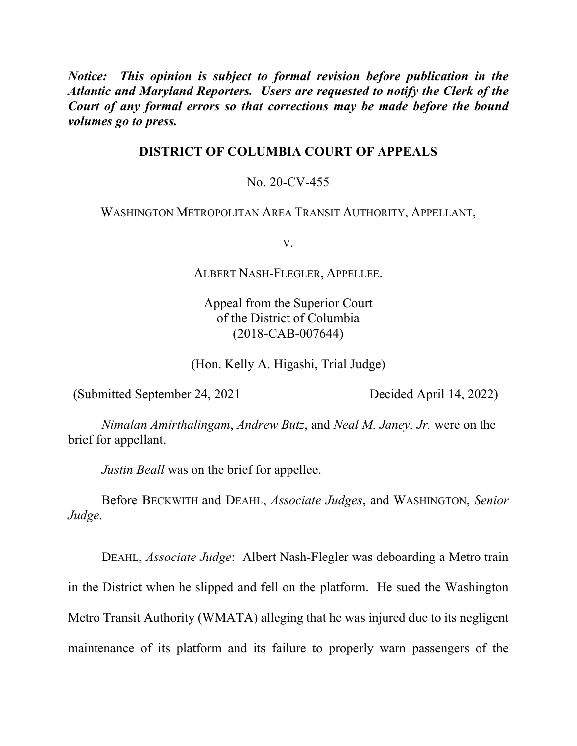*Notice: This opinion is subject to formal revision before publication in the Atlantic and Maryland Reporters. Users are requested to notify the Clerk of the Court of any formal errors so that corrections may be made before the bound volumes go to press.*

# **DISTRICT OF COLUMBIA COURT OF APPEALS**

# No. 20-CV-455

## WASHINGTON METROPOLITAN AREA TRANSIT AUTHORITY, APPELLANT,

V.

ALBERT NASH-FLEGLER, APPELLEE.

Appeal from the Superior Court of the District of Columbia (2018-CAB-007644)

(Hon. Kelly A. Higashi, Trial Judge)

(Submitted September 24, 2021 Decided April 14, 2022)

*Nimalan Amirthalingam*, *Andrew Butz*, and *Neal M. Janey, Jr.* were on the brief for appellant.

*Justin Beall* was on the brief for appellee.

Before BECKWITH and DEAHL, *Associate Judges*, and WASHINGTON, *Senior Judge*.

DEAHL, *Associate Judge*: Albert Nash-Flegler was deboarding a Metro train in the District when he slipped and fell on the platform. He sued the Washington Metro Transit Authority (WMATA) alleging that he was injured due to its negligent maintenance of its platform and its failure to properly warn passengers of the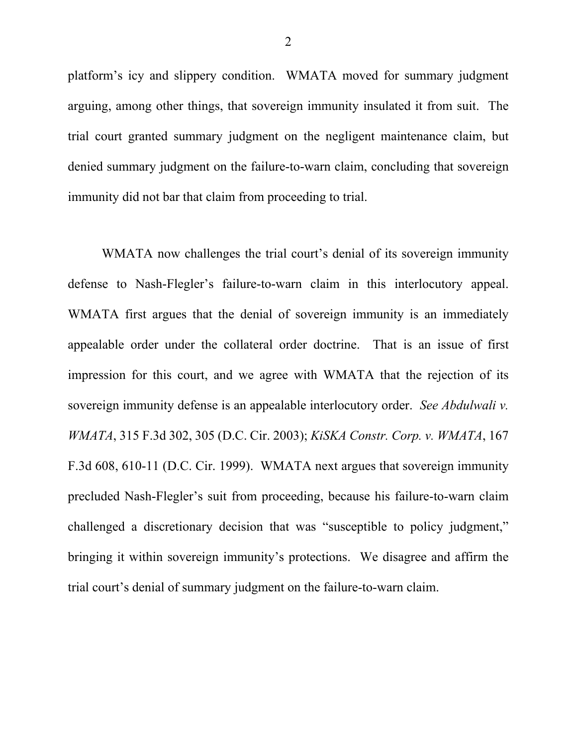platform's icy and slippery condition. WMATA moved for summary judgment arguing, among other things, that sovereign immunity insulated it from suit. The trial court granted summary judgment on the negligent maintenance claim, but denied summary judgment on the failure-to-warn claim, concluding that sovereign immunity did not bar that claim from proceeding to trial.

WMATA now challenges the trial court's denial of its sovereign immunity defense to Nash-Flegler's failure-to-warn claim in this interlocutory appeal. WMATA first argues that the denial of sovereign immunity is an immediately appealable order under the collateral order doctrine. That is an issue of first impression for this court, and we agree with WMATA that the rejection of its sovereign immunity defense is an appealable interlocutory order. *See Abdulwali v. WMATA*, 315 F.3d 302, 305 (D.C. Cir. 2003); *KiSKA Constr. Corp. v. WMATA*, 167 F.3d 608, 610-11 (D.C. Cir. 1999). WMATA next argues that sovereign immunity precluded Nash-Flegler's suit from proceeding, because his failure-to-warn claim challenged a discretionary decision that was "susceptible to policy judgment," bringing it within sovereign immunity's protections. We disagree and affirm the trial court's denial of summary judgment on the failure-to-warn claim.

2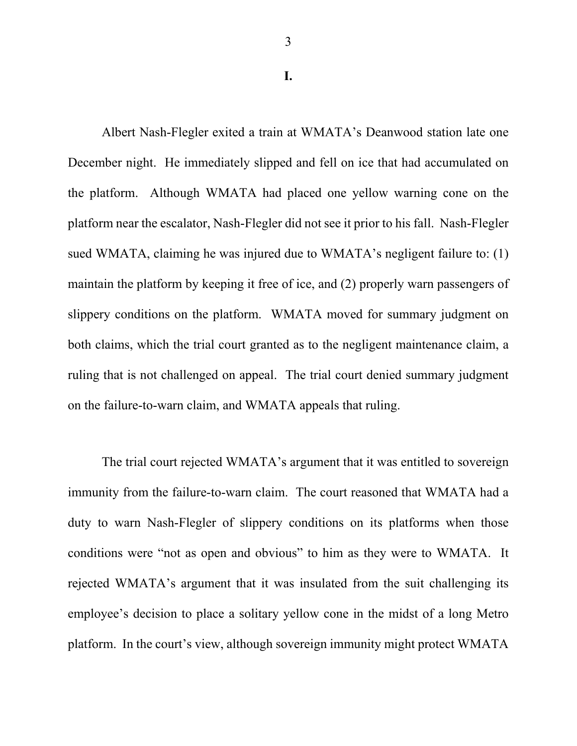**I.**

Albert Nash-Flegler exited a train at WMATA's Deanwood station late one December night. He immediately slipped and fell on ice that had accumulated on the platform. Although WMATA had placed one yellow warning cone on the platform near the escalator, Nash-Flegler did not see it prior to his fall. Nash-Flegler sued WMATA, claiming he was injured due to WMATA's negligent failure to: (1) maintain the platform by keeping it free of ice, and (2) properly warn passengers of slippery conditions on the platform. WMATA moved for summary judgment on both claims, which the trial court granted as to the negligent maintenance claim, a ruling that is not challenged on appeal. The trial court denied summary judgment on the failure-to-warn claim, and WMATA appeals that ruling.

The trial court rejected WMATA's argument that it was entitled to sovereign immunity from the failure-to-warn claim. The court reasoned that WMATA had a duty to warn Nash-Flegler of slippery conditions on its platforms when those conditions were "not as open and obvious" to him as they were to WMATA. It rejected WMATA's argument that it was insulated from the suit challenging its employee's decision to place a solitary yellow cone in the midst of a long Metro platform. In the court's view, although sovereign immunity might protect WMATA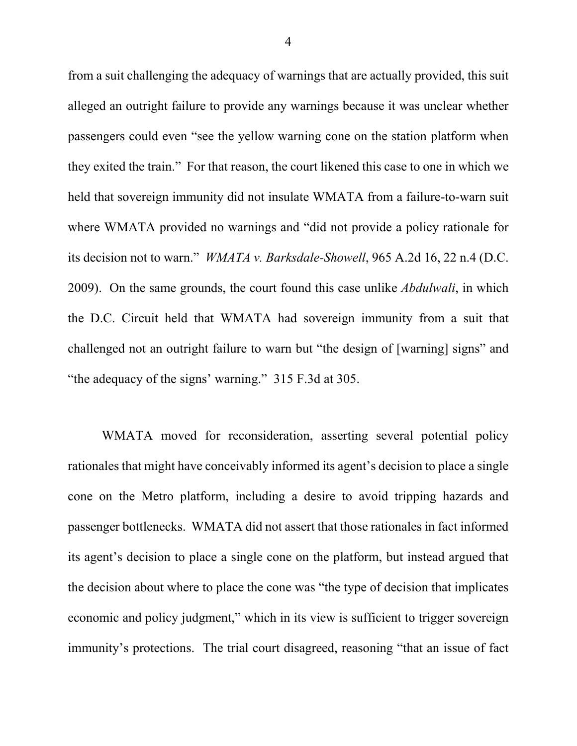from a suit challenging the adequacy of warnings that are actually provided, this suit alleged an outright failure to provide any warnings because it was unclear whether passengers could even "see the yellow warning cone on the station platform when they exited the train." For that reason, the court likened this case to one in which we held that sovereign immunity did not insulate WMATA from a failure-to-warn suit where WMATA provided no warnings and "did not provide a policy rationale for its decision not to warn." *WMATA v. Barksdale-Showell*, 965 A.2d 16, 22 n.4 (D.C. 2009). On the same grounds, the court found this case unlike *Abdulwali*, in which the D.C. Circuit held that WMATA had sovereign immunity from a suit that challenged not an outright failure to warn but "the design of [warning] signs" and "the adequacy of the signs' warning." 315 F.3d at 305.

WMATA moved for reconsideration, asserting several potential policy rationales that might have conceivably informed its agent's decision to place a single cone on the Metro platform, including a desire to avoid tripping hazards and passenger bottlenecks. WMATA did not assert that those rationales in fact informed its agent's decision to place a single cone on the platform, but instead argued that the decision about where to place the cone was "the type of decision that implicates economic and policy judgment," which in its view is sufficient to trigger sovereign immunity's protections. The trial court disagreed, reasoning "that an issue of fact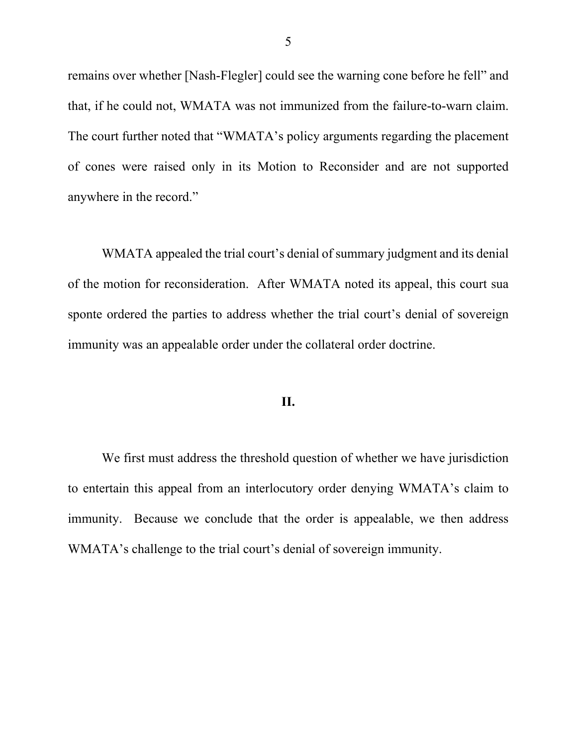remains over whether [Nash-Flegler] could see the warning cone before he fell" and that, if he could not, WMATA was not immunized from the failure-to-warn claim. The court further noted that "WMATA's policy arguments regarding the placement of cones were raised only in its Motion to Reconsider and are not supported anywhere in the record."

WMATA appealed the trial court's denial of summary judgment and its denial of the motion for reconsideration. After WMATA noted its appeal, this court sua sponte ordered the parties to address whether the trial court's denial of sovereign immunity was an appealable order under the collateral order doctrine.

### **II.**

We first must address the threshold question of whether we have jurisdiction to entertain this appeal from an interlocutory order denying WMATA's claim to immunity. Because we conclude that the order is appealable, we then address WMATA's challenge to the trial court's denial of sovereign immunity.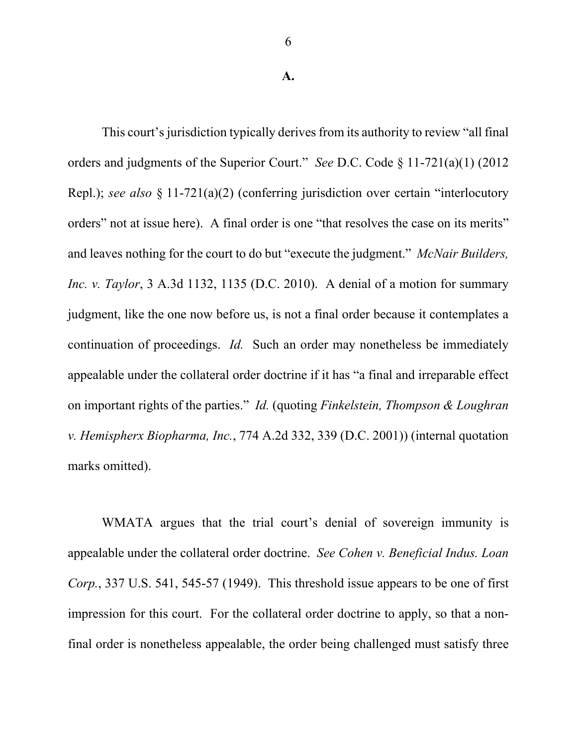**A.**

This court's jurisdiction typically derives from its authority to review "all final orders and judgments of the Superior Court." *See* D.C. Code § 11-721(a)(1) (2012 Repl.); *see also* § 11-721(a)(2) (conferring jurisdiction over certain "interlocutory orders" not at issue here). A final order is one "that resolves the case on its merits" and leaves nothing for the court to do but "execute the judgment." *McNair Builders, Inc. v. Taylor*, 3 A.3d 1132, 1135 (D.C. 2010). A denial of a motion for summary judgment, like the one now before us, is not a final order because it contemplates a continuation of proceedings. *Id.* Such an order may nonetheless be immediately appealable under the collateral order doctrine if it has "a final and irreparable effect on important rights of the parties." *Id.* (quoting *Finkelstein, Thompson & Loughran v. Hemispherx Biopharma, Inc.*, 774 A.2d 332, 339 (D.C. 2001)) (internal quotation marks omitted).

WMATA argues that the trial court's denial of sovereign immunity is appealable under the collateral order doctrine. *See Cohen v. Beneficial Indus. Loan Corp.*, 337 U.S. 541, 545-57 (1949). This threshold issue appears to be one of first impression for this court. For the collateral order doctrine to apply, so that a nonfinal order is nonetheless appealable, the order being challenged must satisfy three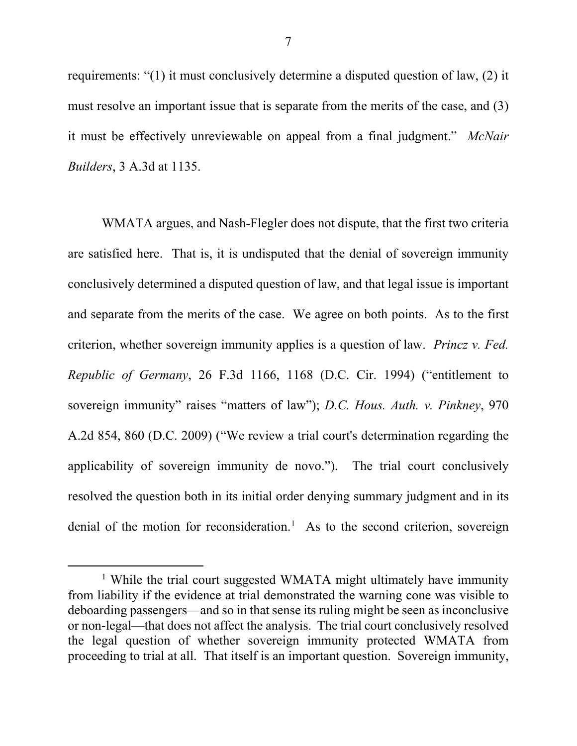requirements: "(1) it must conclusively determine a disputed question of law, (2) it must resolve an important issue that is separate from the merits of the case, and (3) it must be effectively unreviewable on appeal from a final judgment." *McNair Builders*, 3 A.3d at 1135.

WMATA argues, and Nash-Flegler does not dispute, that the first two criteria are satisfied here. That is, it is undisputed that the denial of sovereign immunity conclusively determined a disputed question of law, and that legal issue is important and separate from the merits of the case. We agree on both points. As to the first criterion, whether sovereign immunity applies is a question of law. *Princz v. Fed. Republic of Germany*, 26 F.3d 1166, 1168 (D.C. Cir. 1994) ("entitlement to sovereign immunity" raises "matters of law"); *D.C. Hous. Auth. v. Pinkney*, 970 A.2d 854, 860 (D.C. 2009) ("We review a trial court's determination regarding the applicability of sovereign immunity de novo."). The trial court conclusively resolved the question both in its initial order denying summary judgment and in its denial of the motion for reconsideration.<sup>1</sup> As to the second criterion, sovereign

<sup>&</sup>lt;sup>1</sup> While the trial court suggested WMATA might ultimately have immunity from liability if the evidence at trial demonstrated the warning cone was visible to deboarding passengers—and so in that sense its ruling might be seen as inconclusive or non-legal—that does not affect the analysis. The trial court conclusively resolved the legal question of whether sovereign immunity protected WMATA from proceeding to trial at all. That itself is an important question. Sovereign immunity,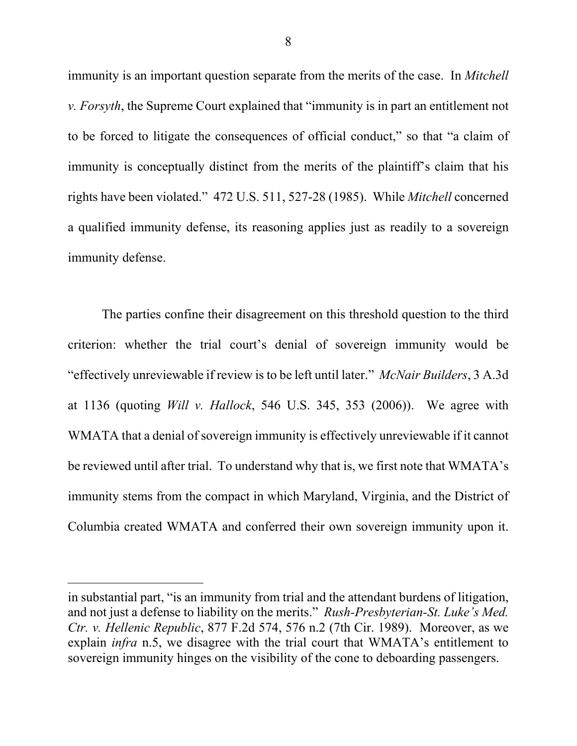immunity is an important question separate from the merits of the case. In *Mitchell v. Forsyth*, the Supreme Court explained that "immunity is in part an entitlement not to be forced to litigate the consequences of official conduct," so that "a claim of immunity is conceptually distinct from the merits of the plaintiff's claim that his rights have been violated." 472 U.S. 511, 527-28 (1985). While *Mitchell* concerned a qualified immunity defense, its reasoning applies just as readily to a sovereign immunity defense.

The parties confine their disagreement on this threshold question to the third criterion: whether the trial court's denial of sovereign immunity would be "effectively unreviewable if review is to be left until later." *McNair Builders*, 3 A.3d at 1136 (quoting *Will v. Hallock*, 546 U.S. 345, 353 (2006)). We agree with WMATA that a denial of sovereign immunity is effectively unreviewable if it cannot be reviewed until after trial. To understand why that is, we first note that WMATA's immunity stems from the compact in which Maryland, Virginia, and the District of Columbia created WMATA and conferred their own sovereign immunity upon it.

 $\overline{a}$ 

in substantial part, "is an immunity from trial and the attendant burdens of litigation, and not just a defense to liability on the merits." *Rush-Presbyterian-St. Luke's Med. Ctr. v. Hellenic Republic*, 877 F.2d 574, 576 n.2 (7th Cir. 1989). Moreover, as we explain *infra* n.5, we disagree with the trial court that WMATA's entitlement to sovereign immunity hinges on the visibility of the cone to deboarding passengers.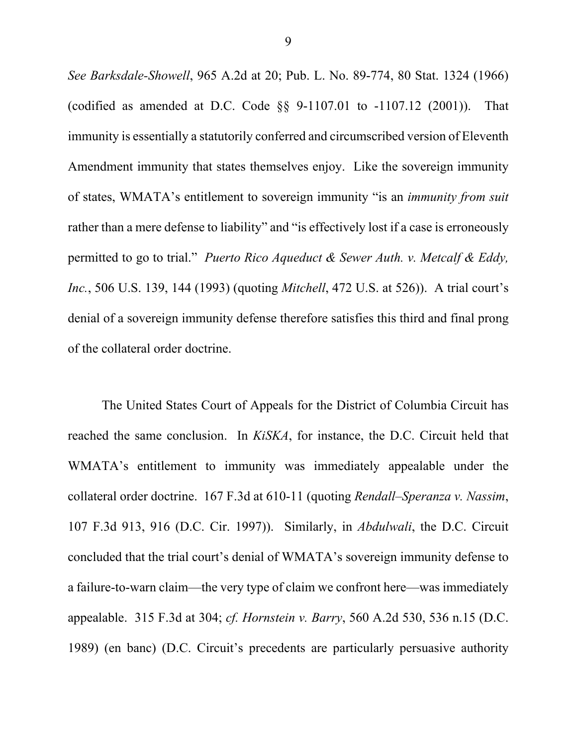*See Barksdale-Showell*, 965 A.2d at 20; Pub. L. No. 89-774, 80 Stat. 1324 (1966) (codified as amended at D.C. Code §§ 9-1107.01 to -1107.12 (2001)). That immunity is essentially a statutorily conferred and circumscribed version of Eleventh Amendment immunity that states themselves enjoy. Like the sovereign immunity of states, WMATA's entitlement to sovereign immunity "is an *immunity from suit*  rather than a mere defense to liability" and "is effectively lost if a case is erroneously permitted to go to trial." *Puerto Rico Aqueduct & Sewer Auth. v. Metcalf & Eddy, Inc.*, 506 U.S. 139, 144 (1993) (quoting *Mitchell*, 472 U.S. at 526)). A trial court's denial of a sovereign immunity defense therefore satisfies this third and final prong of the collateral order doctrine.

The United States Court of Appeals for the District of Columbia Circuit has reached the same conclusion. In *KiSKA*, for instance, the D.C. Circuit held that WMATA's entitlement to immunity was immediately appealable under the collateral order doctrine. 167 F.3d at 610-11 (quoting *Rendall–Speranza v. Nassim*, 107 F.3d 913, 916 (D.C. Cir. 1997)). Similarly, in *Abdulwali*, the D.C. Circuit concluded that the trial court's denial of WMATA's sovereign immunity defense to a failure-to-warn claim—the very type of claim we confront here—was immediately appealable. 315 F.3d at 304; *cf. Hornstein v. Barry*, 560 A.2d 530, 536 n.15 (D.C. 1989) (en banc) (D.C. Circuit's precedents are particularly persuasive authority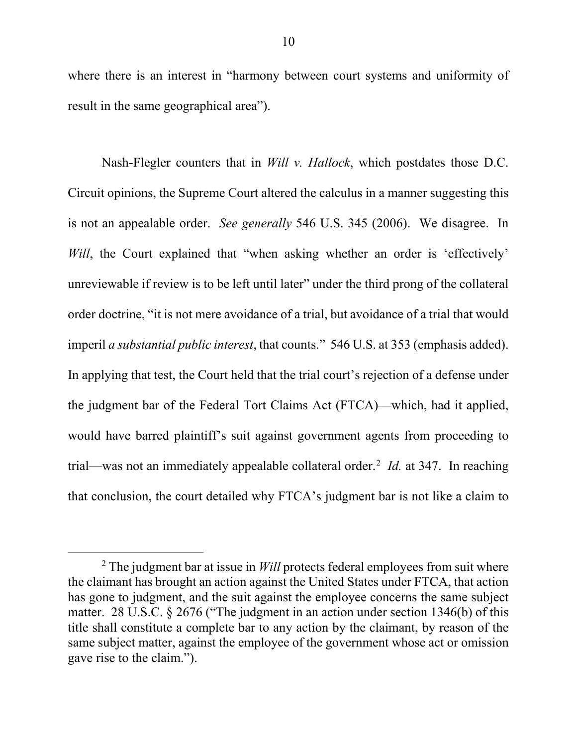where there is an interest in "harmony between court systems and uniformity of result in the same geographical area").

Nash-Flegler counters that in *Will v. Hallock*, which postdates those D.C. Circuit opinions, the Supreme Court altered the calculus in a manner suggesting this is not an appealable order. *See generally* 546 U.S. 345 (2006). We disagree. In *Will*, the Court explained that "when asking whether an order is 'effectively' unreviewable if review is to be left until later" under the third prong of the collateral order doctrine, "it is not mere avoidance of a trial, but avoidance of a trial that would imperil *a substantial public interest*, that counts." 546 U.S. at 353 (emphasis added). In applying that test, the Court held that the trial court's rejection of a defense under the judgment bar of the Federal Tort Claims Act (FTCA)—which, had it applied, would have barred plaintiff's suit against government agents from proceeding to trial—was not an immediately appealable collateral order. 2 *Id.* at 347. In reaching that conclusion, the court detailed why FTCA's judgment bar is not like a claim to

<sup>&</sup>lt;sup>2</sup> The judgment bar at issue in *Will* protects federal employees from suit where the claimant has brought an action against the United States under FTCA, that action has gone to judgment, and the suit against the employee concerns the same subject matter. 28 U.S.C. § 2676 ("The judgment in an action under section 1346(b) of this title shall constitute a complete bar to any action by the claimant, by reason of the same subject matter, against the employee of the government whose act or omission gave rise to the claim.").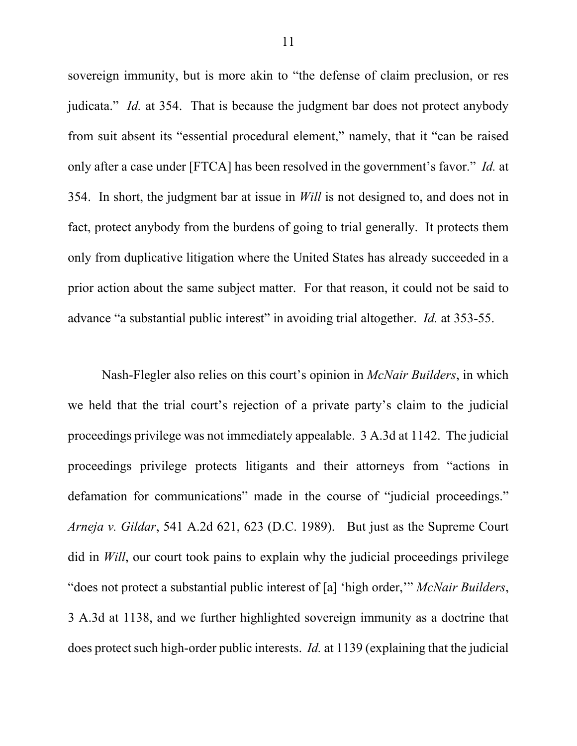sovereign immunity, but is more akin to "the defense of claim preclusion, or res judicata." *Id.* at 354. That is because the judgment bar does not protect anybody from suit absent its "essential procedural element," namely, that it "can be raised only after a case under [FTCA] has been resolved in the government's favor." *Id.* at 354. In short, the judgment bar at issue in *Will* is not designed to, and does not in fact, protect anybody from the burdens of going to trial generally. It protects them only from duplicative litigation where the United States has already succeeded in a prior action about the same subject matter. For that reason, it could not be said to advance "a substantial public interest" in avoiding trial altogether. *Id.* at 353-55.

Nash-Flegler also relies on this court's opinion in *McNair Builders*, in which we held that the trial court's rejection of a private party's claim to the judicial proceedings privilege was not immediately appealable. 3 A.3d at 1142. The judicial proceedings privilege protects litigants and their attorneys from "actions in defamation for communications" made in the course of "judicial proceedings." *Arneja v. Gildar*, 541 A.2d 621, 623 (D.C. 1989). But just as the Supreme Court did in *Will*, our court took pains to explain why the judicial proceedings privilege "does not protect a substantial public interest of [a] 'high order,'" *McNair Builders*, 3 A.3d at 1138, and we further highlighted sovereign immunity as a doctrine that does protect such high-order public interests. *Id.* at 1139 (explaining that the judicial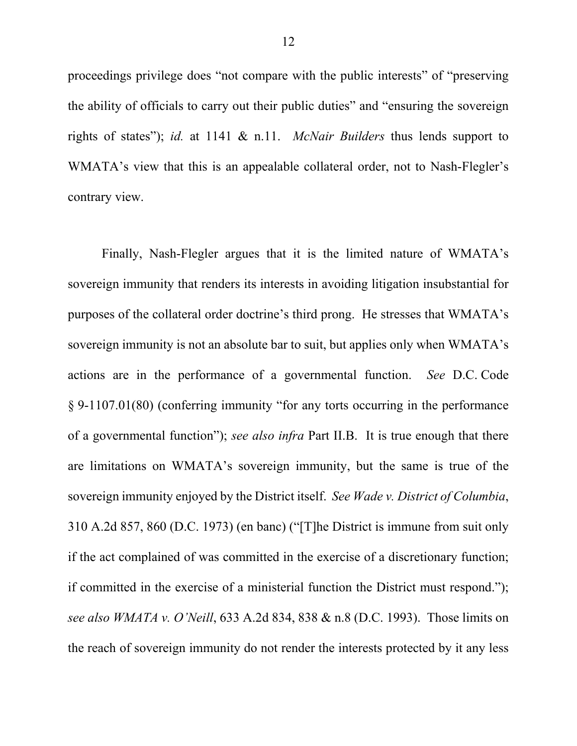proceedings privilege does "not compare with the public interests" of "preserving the ability of officials to carry out their public duties" and "ensuring the sovereign rights of states"); *id.* at 1141 & n.11. *McNair Builders* thus lends support to WMATA's view that this is an appealable collateral order, not to Nash-Flegler's contrary view.

Finally, Nash-Flegler argues that it is the limited nature of WMATA's sovereign immunity that renders its interests in avoiding litigation insubstantial for purposes of the collateral order doctrine's third prong. He stresses that WMATA's sovereign immunity is not an absolute bar to suit, but applies only when WMATA's actions are in the performance of a governmental function. *See* D.C. Code § 9-1107.01(80) (conferring immunity "for any torts occurring in the performance of a governmental function"); *see also infra* Part II.B. It is true enough that there are limitations on WMATA's sovereign immunity, but the same is true of the sovereign immunity enjoyed by the District itself. *See Wade v. District of Columbia*, 310 A.2d 857, 860 (D.C. 1973) (en banc) ("[T]he District is immune from suit only if the act complained of was committed in the exercise of a discretionary function; if committed in the exercise of a ministerial function the District must respond."); *see also WMATA v. O'Neill*, 633 A.2d 834, 838 & n.8 (D.C. 1993). Those limits on the reach of sovereign immunity do not render the interests protected by it any less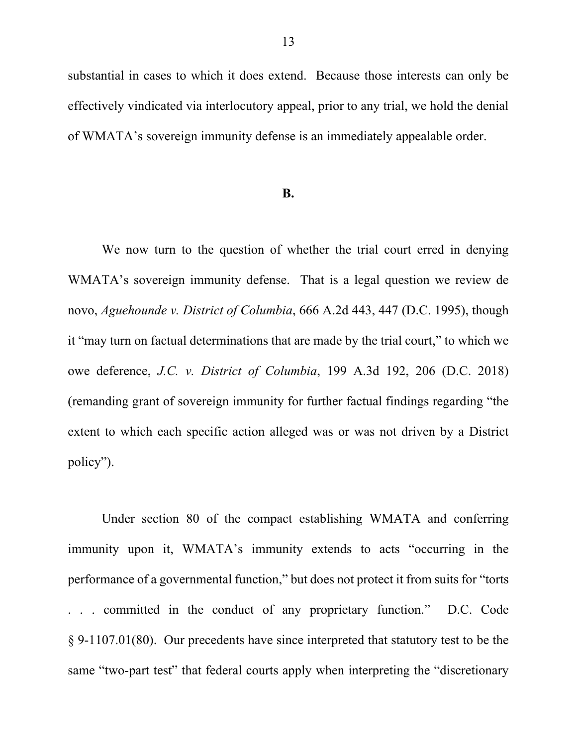substantial in cases to which it does extend. Because those interests can only be effectively vindicated via interlocutory appeal, prior to any trial, we hold the denial of WMATA's sovereign immunity defense is an immediately appealable order.

#### **B.**

We now turn to the question of whether the trial court erred in denying WMATA's sovereign immunity defense. That is a legal question we review de novo, *Aguehounde v. District of Columbia*, 666 A.2d 443, 447 (D.C. 1995), though it "may turn on factual determinations that are made by the trial court," to which we owe deference, *J.C. v. District of Columbia*, 199 A.3d 192, 206 (D.C. 2018) (remanding grant of sovereign immunity for further factual findings regarding "the extent to which each specific action alleged was or was not driven by a District policy").

Under section 80 of the compact establishing WMATA and conferring immunity upon it, WMATA's immunity extends to acts "occurring in the performance of a governmental function," but does not protect it from suits for "torts . . . committed in the conduct of any proprietary function." D.C. Code § 9-1107.01(80). Our precedents have since interpreted that statutory test to be the same "two-part test" that federal courts apply when interpreting the "discretionary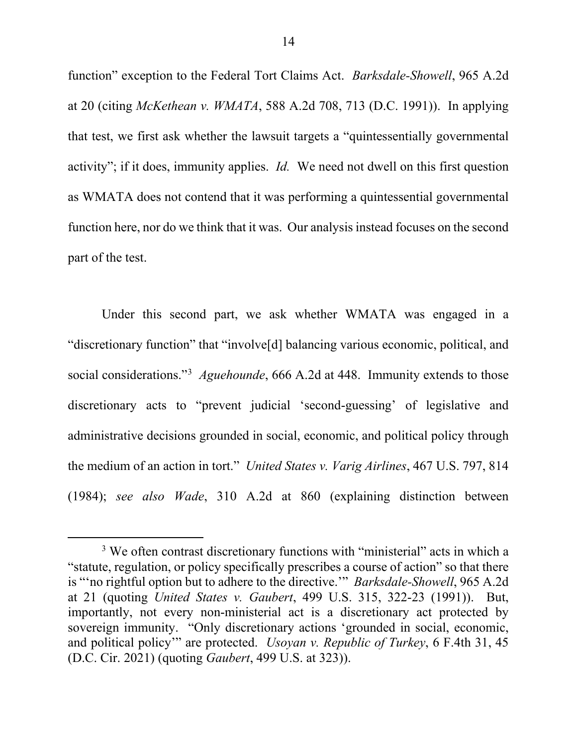function" exception to the Federal Tort Claims Act. *Barksdale-Showell*, 965 A.2d at 20 (citing *McKethean v. WMATA*, 588 A.2d 708, 713 (D.C. 1991)). In applying that test, we first ask whether the lawsuit targets a "quintessentially governmental activity"; if it does, immunity applies. *Id.* We need not dwell on this first question as WMATA does not contend that it was performing a quintessential governmental function here, nor do we think that it was. Our analysis instead focuses on the second part of the test.

Under this second part, we ask whether WMATA was engaged in a "discretionary function" that "involve[d] balancing various economic, political, and social considerations."3 *Aguehounde*, 666 A.2d at 448. Immunity extends to those discretionary acts to "prevent judicial 'second-guessing' of legislative and administrative decisions grounded in social, economic, and political policy through the medium of an action in tort." *United States v. Varig Airlines*, 467 U.S. 797, 814 (1984); *see also Wade*, 310 A.2d at 860 (explaining distinction between

<sup>&</sup>lt;sup>3</sup> We often contrast discretionary functions with "ministerial" acts in which a "statute, regulation, or policy specifically prescribes a course of action" so that there is "'no rightful option but to adhere to the directive.'" *Barksdale-Showell*, 965 A.2d at 21 (quoting *United States v. Gaubert*, 499 U.S. 315, 322-23 (1991)). But, importantly, not every non-ministerial act is a discretionary act protected by sovereign immunity. "Only discretionary actions 'grounded in social, economic, and political policy'" are protected. *Usoyan v. Republic of Turkey*, 6 F.4th 31, 45 (D.C. Cir. 2021) (quoting *Gaubert*, 499 U.S. at 323)).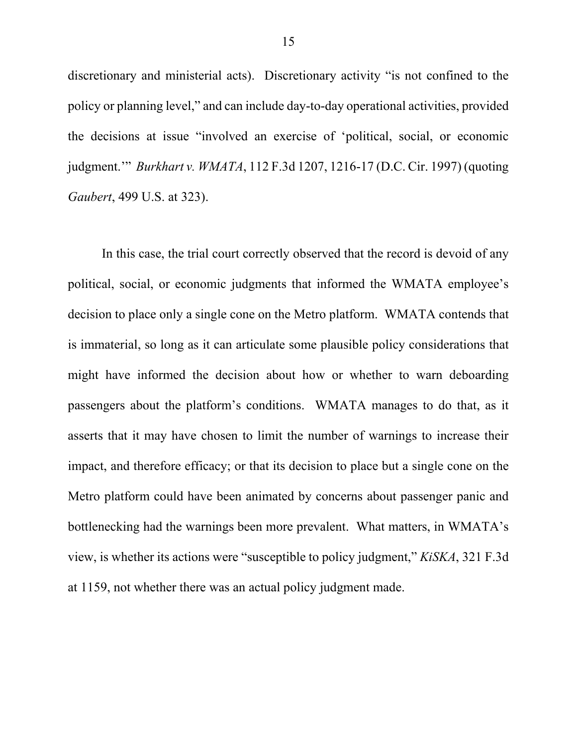discretionary and ministerial acts). Discretionary activity "is not confined to the policy or planning level," and can include day-to-day operational activities, provided the decisions at issue "involved an exercise of 'political, social, or economic judgment.'" *Burkhart v. WMATA*, 112 F.3d 1207, 1216-17 (D.C. Cir. 1997) (quoting *Gaubert*, 499 U.S. at 323).

In this case, the trial court correctly observed that the record is devoid of any political, social, or economic judgments that informed the WMATA employee's decision to place only a single cone on the Metro platform. WMATA contends that is immaterial, so long as it can articulate some plausible policy considerations that might have informed the decision about how or whether to warn deboarding passengers about the platform's conditions. WMATA manages to do that, as it asserts that it may have chosen to limit the number of warnings to increase their impact, and therefore efficacy; or that its decision to place but a single cone on the Metro platform could have been animated by concerns about passenger panic and bottlenecking had the warnings been more prevalent. What matters, in WMATA's view, is whether its actions were "susceptible to policy judgment," *KiSKA*, 321 F.3d at 1159, not whether there was an actual policy judgment made.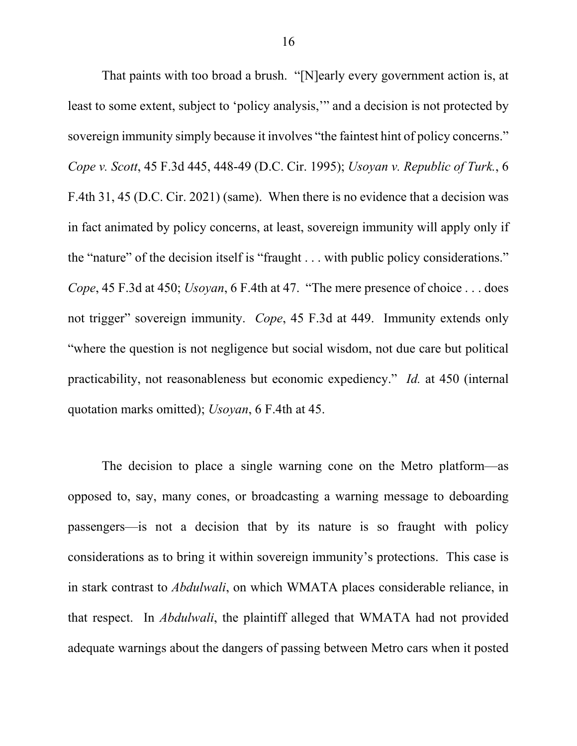That paints with too broad a brush. "[N]early every government action is, at least to some extent, subject to 'policy analysis,'" and a decision is not protected by sovereign immunity simply because it involves "the faintest hint of policy concerns." *Cope v. Scott*, 45 F.3d 445, 448-49 (D.C. Cir. 1995); *Usoyan v. Republic of Turk.*, 6 F.4th 31, 45 (D.C. Cir. 2021) (same). When there is no evidence that a decision was in fact animated by policy concerns, at least, sovereign immunity will apply only if the "nature" of the decision itself is "fraught . . . with public policy considerations." *Cope*, 45 F.3d at 450; *Usoyan*, 6 F.4th at 47. "The mere presence of choice . . . does not trigger" sovereign immunity. *Cope*, 45 F.3d at 449. Immunity extends only "where the question is not negligence but social wisdom, not due care but political practicability, not reasonableness but economic expediency." *Id.* at 450 (internal quotation marks omitted); *Usoyan*, 6 F.4th at 45.

The decision to place a single warning cone on the Metro platform—as opposed to, say, many cones, or broadcasting a warning message to deboarding passengers—is not a decision that by its nature is so fraught with policy considerations as to bring it within sovereign immunity's protections. This case is in stark contrast to *Abdulwali*, on which WMATA places considerable reliance, in that respect. In *Abdulwali*, the plaintiff alleged that WMATA had not provided adequate warnings about the dangers of passing between Metro cars when it posted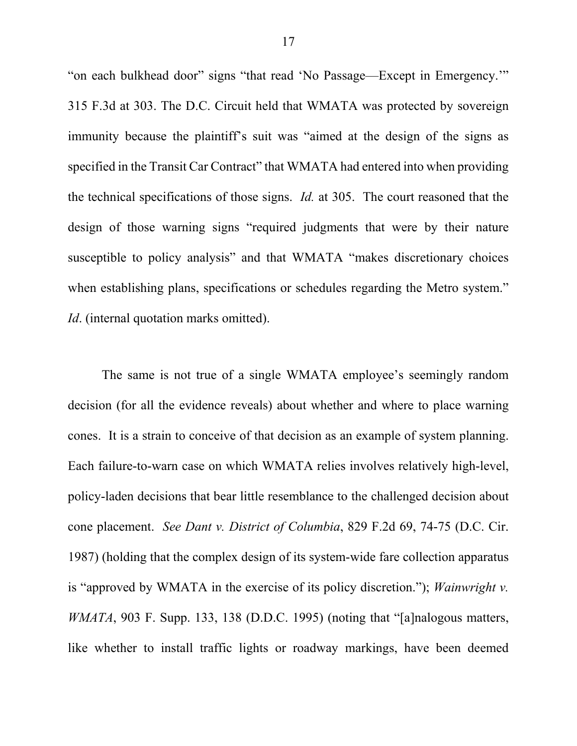"on each bulkhead door" signs "that read 'No Passage—Except in Emergency.'" 315 F.3d at 303. The D.C. Circuit held that WMATA was protected by sovereign immunity because the plaintiff's suit was "aimed at the design of the signs as specified in the Transit Car Contract" that WMATA had entered into when providing the technical specifications of those signs. *Id.* at 305. The court reasoned that the design of those warning signs "required judgments that were by their nature susceptible to policy analysis" and that WMATA "makes discretionary choices when establishing plans, specifications or schedules regarding the Metro system." *Id.* (internal quotation marks omitted).

The same is not true of a single WMATA employee's seemingly random decision (for all the evidence reveals) about whether and where to place warning cones. It is a strain to conceive of that decision as an example of system planning. Each failure-to-warn case on which WMATA relies involves relatively high-level, policy-laden decisions that bear little resemblance to the challenged decision about cone placement. *See Dant v. District of Columbia*, 829 F.2d 69, 74-75 (D.C. Cir. 1987) (holding that the complex design of its system-wide fare collection apparatus is "approved by WMATA in the exercise of its policy discretion."); *Wainwright v. WMATA*, 903 F. Supp. 133, 138 (D.D.C. 1995) (noting that "[a]nalogous matters, like whether to install traffic lights or roadway markings, have been deemed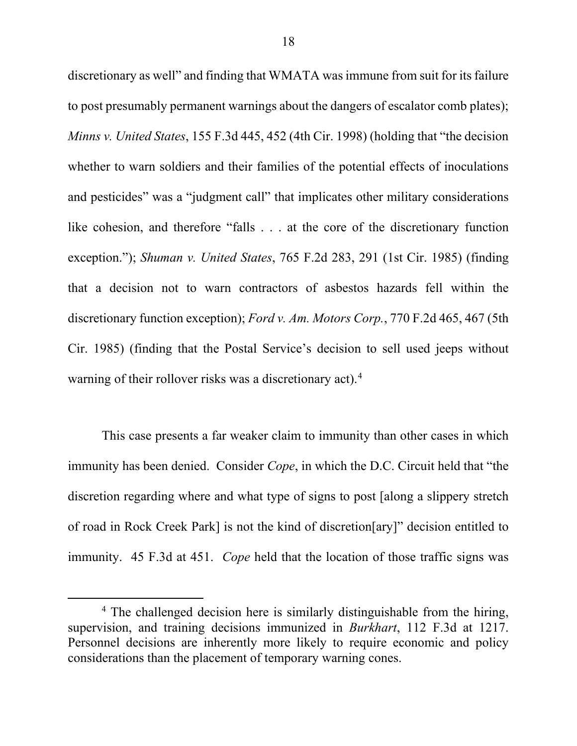discretionary as well" and finding that WMATA was immune from suit for its failure to post presumably permanent warnings about the dangers of escalator comb plates); *Minns v. United States*, 155 F.3d 445, 452 (4th Cir. 1998) (holding that "the decision whether to warn soldiers and their families of the potential effects of inoculations and pesticides" was a "judgment call" that implicates other military considerations like cohesion, and therefore "falls . . . at the core of the discretionary function exception."); *Shuman v. United States*, 765 F.2d 283, 291 (1st Cir. 1985) (finding that a decision not to warn contractors of asbestos hazards fell within the discretionary function exception); *Ford v. Am. Motors Corp.*, 770 F.2d 465, 467 (5th Cir. 1985) (finding that the Postal Service's decision to sell used jeeps without warning of their rollover risks was a discretionary act).<sup>4</sup>

This case presents a far weaker claim to immunity than other cases in which immunity has been denied. Consider *Cope*, in which the D.C. Circuit held that "the discretion regarding where and what type of signs to post [along a slippery stretch of road in Rock Creek Park] is not the kind of discretion[ary]" decision entitled to immunity. 45 F.3d at 451. *Cope* held that the location of those traffic signs was

<sup>&</sup>lt;sup>4</sup> The challenged decision here is similarly distinguishable from the hiring, supervision, and training decisions immunized in *Burkhart*, 112 F.3d at 1217. Personnel decisions are inherently more likely to require economic and policy considerations than the placement of temporary warning cones.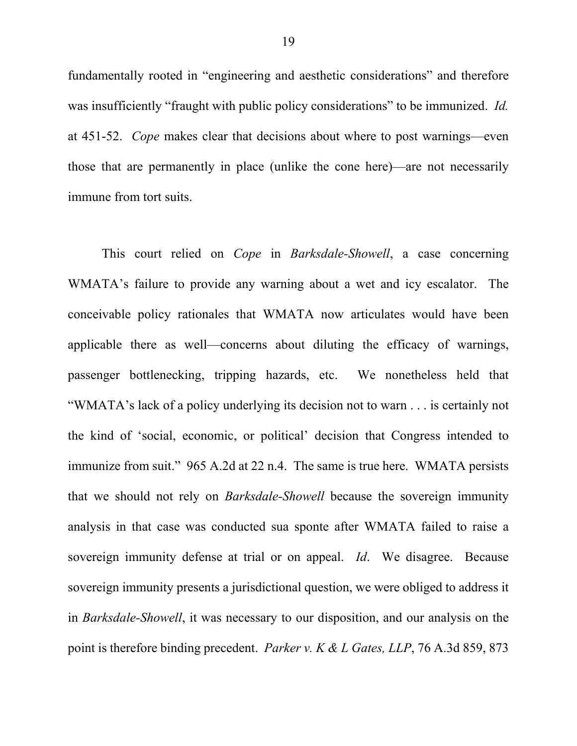fundamentally rooted in "engineering and aesthetic considerations" and therefore was insufficiently "fraught with public policy considerations" to be immunized. *Id.* at 451-52. *Cope* makes clear that decisions about where to post warnings—even those that are permanently in place (unlike the cone here)—are not necessarily immune from tort suits.

This court relied on *Cope* in *Barksdale-Showell*, a case concerning WMATA's failure to provide any warning about a wet and icy escalator. The conceivable policy rationales that WMATA now articulates would have been applicable there as well—concerns about diluting the efficacy of warnings, passenger bottlenecking, tripping hazards, etc. We nonetheless held that "WMATA's lack of a policy underlying its decision not to warn . . . is certainly not the kind of 'social, economic, or political' decision that Congress intended to immunize from suit." 965 A.2d at 22 n.4. The same is true here. WMATA persists that we should not rely on *Barksdale-Showell* because the sovereign immunity analysis in that case was conducted sua sponte after WMATA failed to raise a sovereign immunity defense at trial or on appeal. *Id*. We disagree. Because sovereign immunity presents a jurisdictional question, we were obliged to address it in *Barksdale-Showell*, it was necessary to our disposition, and our analysis on the point is therefore binding precedent. *Parker v. K & L Gates, LLP*, 76 A.3d 859, 873